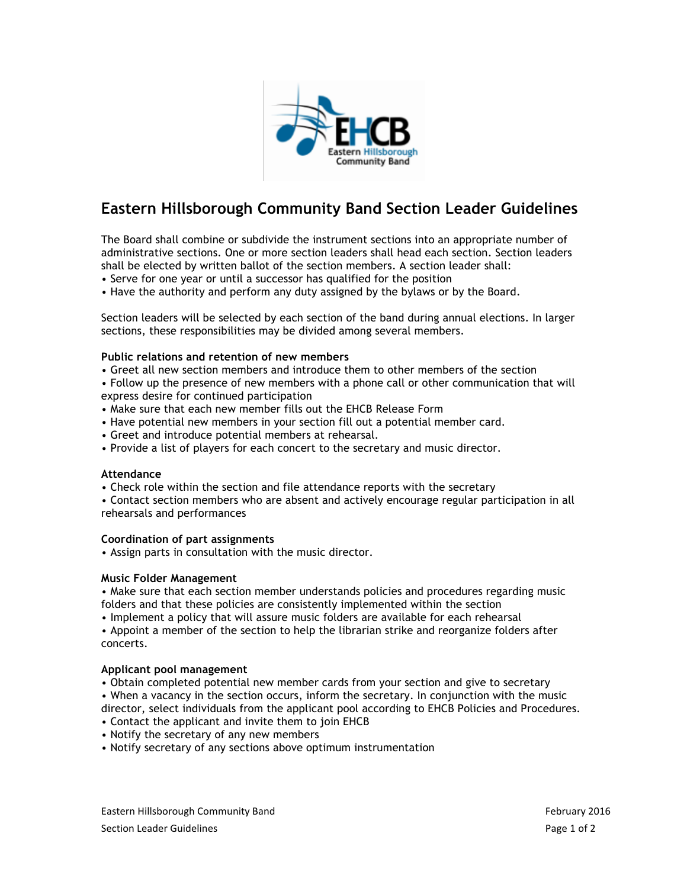

# **Eastern Hillsborough Community Band Section Leader Guidelines**

The Board shall combine or subdivide the instrument sections into an appropriate number of administrative sections. One or more section leaders shall head each section. Section leaders shall be elected by written ballot of the section members. A section leader shall:

- Serve for one year or until a successor has qualified for the position
- Have the authority and perform any duty assigned by the bylaws or by the Board.

Section leaders will be selected by each section of the band during annual elections. In larger sections, these responsibilities may be divided among several members.

#### **Public relations and retention of new members**

• Greet all new section members and introduce them to other members of the section

• Follow up the presence of new members with a phone call or other communication that will express desire for continued participation

- Make sure that each new member fills out the EHCB Release Form
- Have potential new members in your section fill out a potential member card.
- Greet and introduce potential members at rehearsal.
- Provide a list of players for each concert to the secretary and music director.

## **Attendance**

• Check role within the section and file attendance reports with the secretary

• Contact section members who are absent and actively encourage regular participation in all rehearsals and performances

#### **Coordination of part assignments**

• Assign parts in consultation with the music director.

#### **Music Folder Management**

• Make sure that each section member understands policies and procedures regarding music folders and that these policies are consistently implemented within the section

• Implement a policy that will assure music folders are available for each rehearsal

• Appoint a member of the section to help the librarian strike and reorganize folders after concerts.

#### **Applicant pool management**

• Obtain completed potential new member cards from your section and give to secretary

• When a vacancy in the section occurs, inform the secretary. In conjunction with the music director, select individuals from the applicant pool according to EHCB Policies and Procedures.

- Contact the applicant and invite them to join EHCB
- Notify the secretary of any new members
- Notify secretary of any sections above optimum instrumentation

Eastern Hillsborough Community Band February 2016 Section Leader Guidelines **Page 1 of 2** and 2